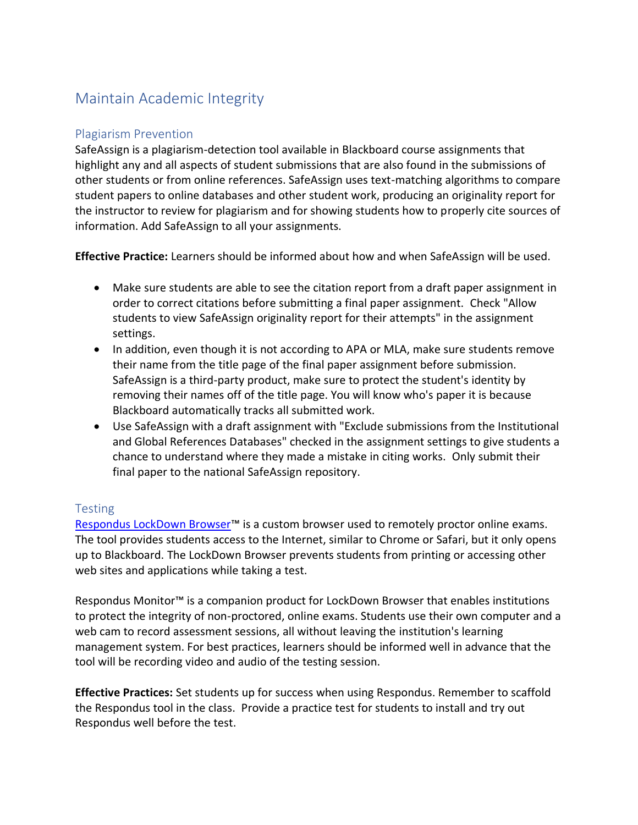## Maintain Academic Integrity

## Plagiarism Prevention

SafeAssign is a plagiarism-detection tool available in Blackboard course assignments that highlight any and all aspects of student submissions that are also found in the submissions of other students or from online references. SafeAssign uses text-matching algorithms to compare student papers to online databases and other student work, producing an originality report for the instructor to review for plagiarism and for showing students how to properly cite sources of information. Add SafeAssign to all your assignments.

**Effective Practice:** Learners should be informed about how and when SafeAssign will be used.

- Make sure students are able to see the citation report from a draft paper assignment in order to correct citations before submitting a final paper assignment. Check "Allow students to view SafeAssign originality report for their attempts" in the assignment settings.
- In addition, even though it is not according to APA or MLA, make sure students remove their name from the title page of the final paper assignment before submission. SafeAssign is a third-party product, make sure to protect the student's identity by removing their names off of the title page. You will know who's paper it is because Blackboard automatically tracks all submitted work.
- Use SafeAssign with a draft assignment with "Exclude submissions from the Institutional and Global References Databases" checked in the assignment settings to give students a chance to understand where they made a mistake in citing works. Only submit their final paper to the national SafeAssign repository.

## **Testing**

[Respondus LockDown Browser](https://www.ccri.edu/it/cit/blackboard/faculty/)™ is a custom browser used to remotely proctor online exams. The tool provides students access to the Internet, similar to Chrome or Safari, but it only opens up to Blackboard. The LockDown Browser prevents students from printing or accessing other web sites and applications while taking a test.

Respondus Monitor™ is a companion product for LockDown Browser that enables institutions to protect the integrity of non-proctored, online exams. Students use their own computer and a web cam to record assessment sessions, all without leaving the institution's learning management system. For best practices, learners should be informed well in advance that the tool will be recording video and audio of the testing session.

**Effective Practices:** Set students up for success when using Respondus. Remember to scaffold the Respondus tool in the class. Provide a practice test for students to install and try out Respondus well before the test.